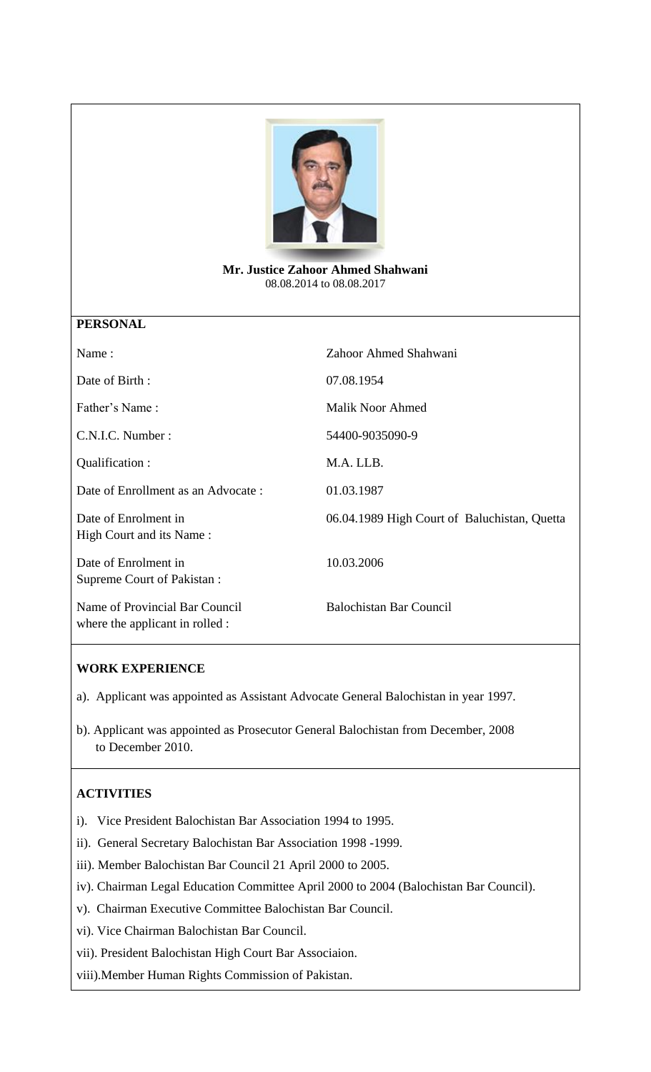

**Mr. Justice Zahoor Ahmed Shahwani** 08.08.2014 to 08.08.2017

## **PERSONAL**

| Name:                                                             | Zahoor Ahmed Shahwani                        |
|-------------------------------------------------------------------|----------------------------------------------|
| Date of Birth:                                                    | 07.08.1954                                   |
| Father's Name:                                                    | <b>Malik Noor Ahmed</b>                      |
| C.N.I.C. Number:                                                  | 54400-9035090-9                              |
| Qualification :                                                   | M.A. LLB.                                    |
| Date of Enrollment as an Advocate:                                | 01.03.1987                                   |
| Date of Enrolment in<br>High Court and its Name:                  | 06.04.1989 High Court of Baluchistan, Quetta |
| Date of Enrolment in<br>Supreme Court of Pakistan :               | 10.03.2006                                   |
| Name of Provincial Bar Council<br>where the applicant in rolled : | <b>Balochistan Bar Council</b>               |

## **WORK EXPERIENCE**

a). Applicant was appointed as Assistant Advocate General Balochistan in year 1997.

b). Applicant was appointed as Prosecutor General Balochistan from December, 2008 to December 2010.

## **ACTIVITIES**

- i). Vice President Balochistan Bar Association 1994 to 1995.
- ii). General Secretary Balochistan Bar Association 1998 -1999.

iii). Member Balochistan Bar Council 21 April 2000 to 2005.

- iv). Chairman Legal Education Committee April 2000 to 2004 (Balochistan Bar Council).
- v). Chairman Executive Committee Balochistan Bar Council.
- vi). Vice Chairman Balochistan Bar Council.
- vii). President Balochistan High Court Bar Associaion.

viii).Member Human Rights Commission of Pakistan.